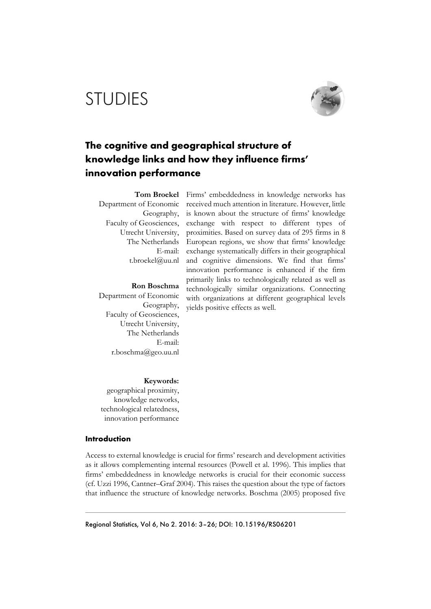# STUDIES



## **The cognitive and geographical structure of knowledge links and how they influence firms' innovation performance**

E-mail: t.broekel@uu.nl

**Ron Boschma** 

Department of Economic Geography, Faculty of Geosciences, Utrecht University, The Netherlands E-mail: r.boschma@geo.uu.nl

**Tom Broekel**  Firms' embeddedness in knowledge networks has Department of Economic received much attention in literature. However, little Geography, is known about the structure of firms' knowledge Faculty of Geosciences, exchange with respect to different types of Utrecht University, proximities. Based on survey data of 295 firms in 8 The Netherlands European regions, we show that firms' knowledge exchange systematically differs in their geographical and cognitive dimensions. We find that firms' innovation performance is enhanced if the firm primarily links to technologically related as well as technologically similar organizations. Connecting with organizations at different geographical levels yields positive effects as well.

**Keywords:**

geographical proximity, knowledge networks, technological relatedness, innovation performance

#### **Introduction**

Access to external knowledge is crucial for firms' research and development activities as it allows complementing internal resources (Powell et al. 1996). This implies that firms' embeddedness in knowledge networks is crucial for their economic success (cf. Uzzi 1996, Cantner–Graf 2004). This raises the question about the type of factors that influence the structure of knowledge networks. Boschma (2005) proposed five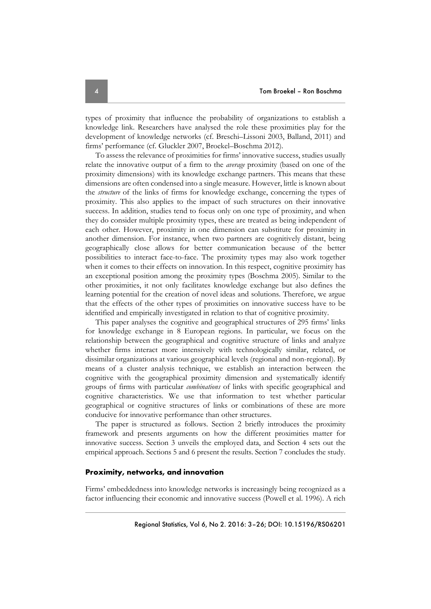types of proximity that influence the probability of organizations to establish a knowledge link. Researchers have analysed the role these proximities play for the development of knowledge networks (cf. Breschi–Lissoni 2003, Balland, 2011) and firms' performance (cf. Gluckler 2007, Broekel–Boschma 2012).

To assess the relevance of proximities for firms' innovative success, studies usually relate the innovative output of a firm to the *average* proximity (based on one of the proximity dimensions) with its knowledge exchange partners. This means that these dimensions are often condensed into a single measure. However, little is known about the *structure* of the links of firms for knowledge exchange, concerning the types of proximity. This also applies to the impact of such structures on their innovative success. In addition, studies tend to focus only on one type of proximity, and when they do consider multiple proximity types, these are treated as being independent of each other. However, proximity in one dimension can substitute for proximity in another dimension. For instance, when two partners are cognitively distant, being geographically close allows for better communication because of the better possibilities to interact face-to-face. The proximity types may also work together when it comes to their effects on innovation. In this respect, cognitive proximity has an exceptional position among the proximity types (Boschma 2005). Similar to the other proximities, it not only facilitates knowledge exchange but also defines the learning potential for the creation of novel ideas and solutions. Therefore, we argue that the effects of the other types of proximities on innovative success have to be identified and empirically investigated in relation to that of cognitive proximity.

This paper analyses the cognitive and geographical structures of 295 firms' links for knowledge exchange in 8 European regions. In particular, we focus on the relationship between the geographical and cognitive structure of links and analyze whether firms interact more intensively with technologically similar, related, or dissimilar organizations at various geographical levels (regional and non-regional). By means of a cluster analysis technique, we establish an interaction between the cognitive with the geographical proximity dimension and systematically identify groups of firms with particular *combinations* of links with specific geographical and cognitive characteristics. We use that information to test whether particular geographical or cognitive structures of links or combinations of these are more conducive for innovative performance than other structures.

The paper is structured as follows. Section 2 briefly introduces the proximity framework and presents arguments on how the different proximities matter for innovative success. Section 3 unveils the employed data, and Section 4 sets out the empirical approach. Sections 5 and 6 present the results. Section 7 concludes the study.

#### **Proximity, networks, and innovation**

Firms' embeddedness into knowledge networks is increasingly being recognized as a factor influencing their economic and innovative success (Powell et al. 1996). A rich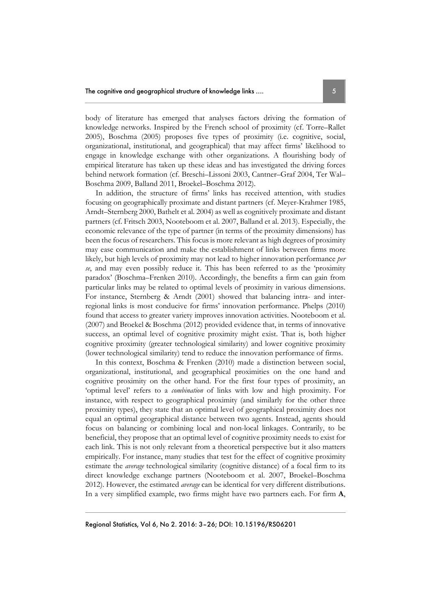body of literature has emerged that analyses factors driving the formation of knowledge networks. Inspired by the French school of proximity (cf. Torre–Rallet 2005), Boschma (2005) proposes five types of proximity (i.e. cognitive, social, organizational, institutional, and geographical) that may affect firms' likelihood to engage in knowledge exchange with other organizations. A flourishing body of empirical literature has taken up these ideas and has investigated the driving forces behind network formation (cf. Breschi–Lissoni 2003, Cantner–Graf 2004, Ter Wal– Boschma 2009, Balland 2011, Broekel–Boschma 2012).

In addition, the structure of firms' links has received attention, with studies focusing on geographically proximate and distant partners (cf. Meyer-Krahmer 1985, Arndt–Sternberg 2000, Bathelt et al. 2004) as well as cognitively proximate and distant partners (cf. Fritsch 2003, Nooteboom et al. 2007, Balland et al. 2013). Especially, the economic relevance of the type of partner (in terms of the proximity dimensions) has been the focus of researchers. This focus is more relevant as high degrees of proximity may ease communication and make the establishment of links between firms more likely, but high levels of proximity may not lead to higher innovation performance *per se*, and may even possibly reduce it. This has been referred to as the 'proximity paradox' (Boschma–Frenken 2010). Accordingly, the benefits a firm can gain from particular links may be related to optimal levels of proximity in various dimensions. For instance, Sternberg & Arndt (2001) showed that balancing intra- and interregional links is most conducive for firms' innovation performance. Phelps (2010) found that access to greater variety improves innovation activities. Nooteboom et al. (2007) and Broekel & Boschma (2012) provided evidence that, in terms of innovative success, an optimal level of cognitive proximity might exist. That is, both higher cognitive proximity (greater technological similarity) and lower cognitive proximity (lower technological similarity) tend to reduce the innovation performance of firms.

In this context, Boschma & Frenken (2010) made a distinction between social, organizational, institutional, and geographical proximities on the one hand and cognitive proximity on the other hand. For the first four types of proximity, an 'optimal level' refers to a *combination* of links with low and high proximity. For instance, with respect to geographical proximity (and similarly for the other three proximity types), they state that an optimal level of geographical proximity does not equal an optimal geographical distance between two agents. Instead, agents should focus on balancing or combining local and non-local linkages. Contrarily, to be beneficial, they propose that an optimal level of cognitive proximity needs to exist for each link. This is not only relevant from a theoretical perspective but it also matters empirically. For instance, many studies that test for the effect of cognitive proximity estimate the *average* technological similarity (cognitive distance) of a focal firm to its direct knowledge exchange partners (Nooteboom et al. 2007, Broekel–Boschma 2012). However, the estimated *average* can be identical for very different distributions. In a very simplified example, two firms might have two partners each. For firm **A**,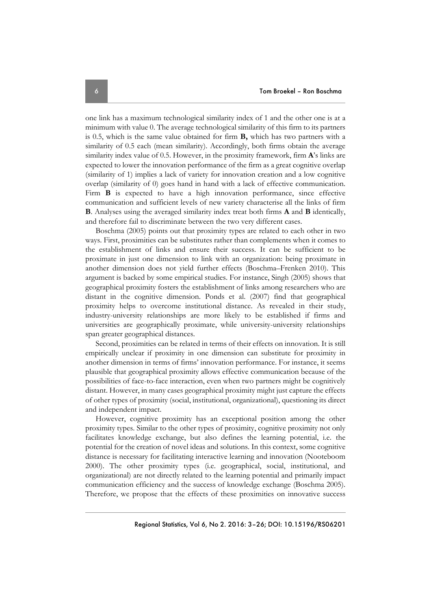one link has a maximum technological similarity index of 1 and the other one is at a minimum with value 0. The average technological similarity of this firm to its partners is 0.5, which is the same value obtained for firm **B,** which has two partners with a similarity of 0.5 each (mean similarity). Accordingly, both firms obtain the average similarity index value of 0.5. However, in the proximity framework, firm **A**'s links are expected to lower the innovation performance of the firm as a great cognitive overlap (similarity of 1) implies a lack of variety for innovation creation and a low cognitive overlap (similarity of 0) goes hand in hand with a lack of effective communication. Firm **B** is expected to have a high innovation performance, since effective communication and sufficient levels of new variety characterise all the links of firm **B**. Analyses using the averaged similarity index treat both firms **A** and **B** identically, and therefore fail to discriminate between the two very different cases.

Boschma (2005) points out that proximity types are related to each other in two ways. First, proximities can be substitutes rather than complements when it comes to the establishment of links and ensure their success. It can be sufficient to be proximate in just one dimension to link with an organization: being proximate in another dimension does not yield further effects (Boschma–Frenken 2010). This argument is backed by some empirical studies. For instance, Singh (2005) shows that geographical proximity fosters the establishment of links among researchers who are distant in the cognitive dimension. Ponds et al. (2007) find that geographical proximity helps to overcome institutional distance. As revealed in their study, industry-university relationships are more likely to be established if firms and universities are geographically proximate, while university-university relationships span greater geographical distances.

Second, proximities can be related in terms of their effects on innovation. It is still empirically unclear if proximity in one dimension can substitute for proximity in another dimension in terms of firms' innovation performance. For instance, it seems plausible that geographical proximity allows effective communication because of the possibilities of face-to-face interaction, even when two partners might be cognitively distant. However, in many cases geographical proximity might just capture the effects of other types of proximity (social, institutional, organizational), questioning its direct and independent impact.

However, cognitive proximity has an exceptional position among the other proximity types. Similar to the other types of proximity, cognitive proximity not only facilitates knowledge exchange, but also defines the learning potential, i.e. the potential for the creation of novel ideas and solutions. In this context, some cognitive distance is necessary for facilitating interactive learning and innovation (Nooteboom 2000). The other proximity types (i.e. geographical, social, institutional, and organizational) are not directly related to the learning potential and primarily impact communication efficiency and the success of knowledge exchange (Boschma 2005). Therefore, we propose that the effects of these proximities on innovative success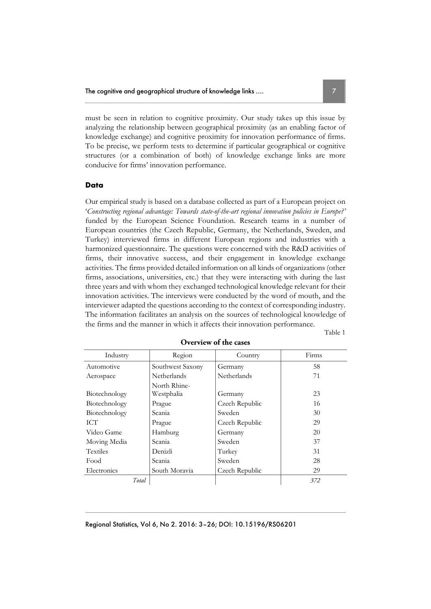must be seen in relation to cognitive proximity. Our study takes up this issue by analyzing the relationship between geographical proximity (as an enabling factor of knowledge exchange) and cognitive proximity for innovation performance of firms. To be precise, we perform tests to determine if particular geographical or cognitive structures (or a combination of both) of knowledge exchange links are more conducive for firms' innovation performance.

#### **Data**

Our empirical study is based on a database collected as part of a European project on '*Constructing regional advantage: Towards state-of-the-art regional innovation policies in Europe?'* funded by the European Science Foundation. Research teams in a number of European countries (the Czech Republic, Germany, the Netherlands, Sweden, and Turkey) interviewed firms in different European regions and industries with a harmonized questionnaire. The questions were concerned with the R&D activities of firms, their innovative success, and their engagement in knowledge exchange activities. The firms provided detailed information on all kinds of organizations (other firms, associations, universities, etc.) that they were interacting with during the last three years and with whom they exchanged technological knowledge relevant for their innovation activities. The interviews were conducted by the word of mouth, and the interviewer adapted the questions according to the context of corresponding industry. The information facilitates an analysis on the sources of technological knowledge of the firms and the manner in which it affects their innovation performance.

Table 1

| Industry      | Region                     | Country        | Firms |
|---------------|----------------------------|----------------|-------|
| Automotive    | Southwest Saxony           | Germany        | 58    |
| Aerospace     | Netherlands                | Netherlands    | 71    |
| Biotechnology | North Rhine-<br>Westphalia | Germany        | 23    |
| Biotechnology | Prague                     | Czech Republic | 16    |
| Biotechnology | Scania                     | Sweden         | 30    |
| <b>ICT</b>    | Prague                     | Czech Republic | 29    |
| Video Game    | Hamburg                    | Germany        | 20    |
| Moving Media  | Scania                     | Sweden         | 37    |
| Textiles      | Denizli                    | Turkey         | 31    |
| Food          | Scania                     | Sweden         | 28    |
| Electronics   | South Moravia              | Czech Republic | 29    |
| Total         |                            |                | 372   |

#### **Overview of the cases**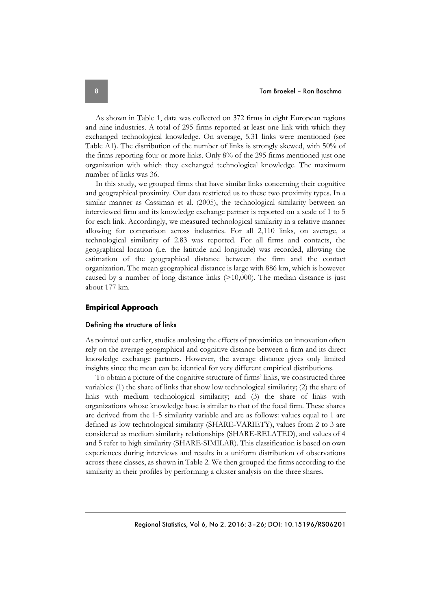As shown in Table 1, data was collected on 372 firms in eight European regions and nine industries. A total of 295 firms reported at least one link with which they exchanged technological knowledge. On average, 5.31 links were mentioned (see Table A1). The distribution of the number of links is strongly skewed, with 50% of the firms reporting four or more links. Only 8% of the 295 firms mentioned just one organization with which they exchanged technological knowledge. The maximum number of links was 36.

In this study, we grouped firms that have similar links concerning their cognitive and geographical proximity. Our data restricted us to these two proximity types. In a similar manner as Cassiman et al. (2005), the technological similarity between an interviewed firm and its knowledge exchange partner is reported on a scale of 1 to 5 for each link. Accordingly, we measured technological similarity in a relative manner allowing for comparison across industries. For all 2,110 links, on average, a technological similarity of 2.83 was reported. For all firms and contacts, the geographical location (i.e. the latitude and longitude) was recorded, allowing the estimation of the geographical distance between the firm and the contact organization. The mean geographical distance is large with 886 km, which is however caused by a number of long distance links (>10,000). The median distance is just about 177 km.

#### **Empirical Approach**

#### Defining the structure of links

As pointed out earlier, studies analysing the effects of proximities on innovation often rely on the average geographical and cognitive distance between a firm and its direct knowledge exchange partners. However, the average distance gives only limited insights since the mean can be identical for very different empirical distributions.

To obtain a picture of the cognitive structure of firms' links, we constructed three variables: (1) the share of links that show low technological similarity; (2) the share of links with medium technological similarity; and (3) the share of links with organizations whose knowledge base is similar to that of the focal firm. These shares are derived from the 1-5 similarity variable and are as follows: values equal to 1 are defined as low technological similarity (SHARE-VARIETY), values from 2 to 3 are considered as medium similarity relationships (SHARE-RELATED), and values of 4 and 5 refer to high similarity (SHARE-SIMILAR). This classification is based on own experiences during interviews and results in a uniform distribution of observations across these classes, as shown in Table 2. We then grouped the firms according to the similarity in their profiles by performing a cluster analysis on the three shares.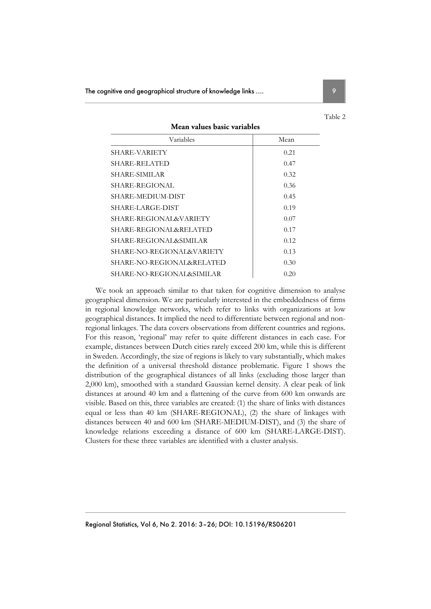| Variables                 | Mean |
|---------------------------|------|
| SHARE-VARIETY             | 0.21 |
| SHARE-RELATED             | 0.47 |
| SHARE-SIMILAR             | 0.32 |
| SHARE-REGIONAL            | 0.36 |
| SHARE-MEDIUM-DIST         | 0.45 |
| SHARE-LARGE-DIST          | 0.19 |
| SHARE-REGIONAL&VARIETY    | 0.07 |
| SHARE-REGIONAL&RELATED    | 0.17 |
| SHARE-REGIONAL&SIMILAR    | 0.12 |
| SHARE-NO-REGIONAL&VARIETY | 0.13 |
| SHARE-NO-REGIONAL&RELATED | 0.30 |
| SHARE-NO-REGIONAL&SIMILAR | 0.20 |

We took an approach similar to that taken for cognitive dimension to analyse geographical dimension. We are particularly interested in the embeddedness of firms in regional knowledge networks, which refer to links with organizations at low geographical distances. It implied the need to differentiate between regional and nonregional linkages. The data covers observations from different countries and regions. For this reason, 'regional' may refer to quite different distances in each case. For example, distances between Dutch cities rarely exceed 200 km, while this is different in Sweden. Accordingly, the size of regions is likely to vary substantially, which makes the definition of a universal threshold distance problematic. Figure 1 shows the distribution of the geographical distances of all links (excluding those larger than 2,000 km), smoothed with a standard Gaussian kernel density. A clear peak of link distances at around 40 km and a flattening of the curve from 600 km onwards are visible. Based on this, three variables are created: (1) the share of links with distances equal or less than 40 km (SHARE-REGIONAL), (2) the share of linkages with distances between 40 and 600 km (SHARE-MEDIUM-DIST), and (3) the share of knowledge relations exceeding a distance of 600 km (SHARE-LARGE-DIST). Clusters for these three variables are identified with a cluster analysis.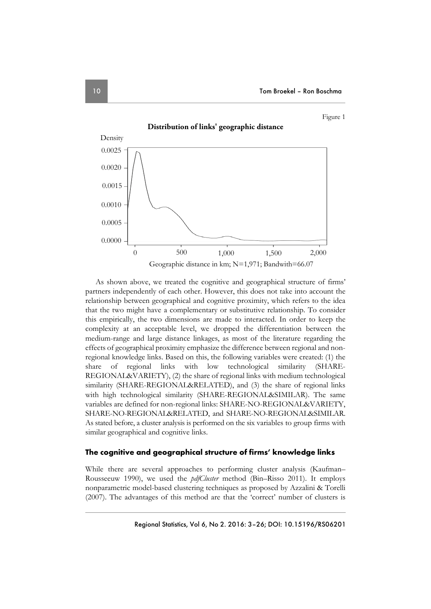Figure 1



As shown above, we treated the cognitive and geographical structure of firms' partners independently of each other. However, this does not take into account the relationship between geographical and cognitive proximity, which refers to the idea that the two might have a complementary or substitutive relationship. To consider this empirically, the two dimensions are made to interacted. In order to keep the complexity at an acceptable level, we dropped the differentiation between the medium-range and large distance linkages, as most of the literature regarding the effects of geographical proximity emphasize the difference between regional and nonregional knowledge links. Based on this, the following variables were created: (1) the share of regional links with low technological similarity (SHARE-REGIONAL&VARIETY), (2) the share of regional links with medium technological similarity (SHARE-REGIONAL&RELATED), and (3) the share of regional links with high technological similarity (SHARE-REGIONAL&SIMILAR). The same variables are defined for non-regional links: SHARE-NO-REGIONAL&VARIETY, SHARE-NO-REGIONAL&RELATED, and SHARE-NO-REGIONAL&SIMILAR. As stated before, a cluster analysis is performed on the six variables to group firms with similar geographical and cognitive links.

#### **The cognitive and geographical structure of firms' knowledge links**

While there are several approaches to performing cluster analysis (Kaufman– Rousseeuw 1990), we used the *pdfCluster* method (Bin–Risso 2011). It employs nonparametric model-based clustering techniques as proposed by Azzalini & Torelli (2007). The advantages of this method are that the 'correct' number of clusters is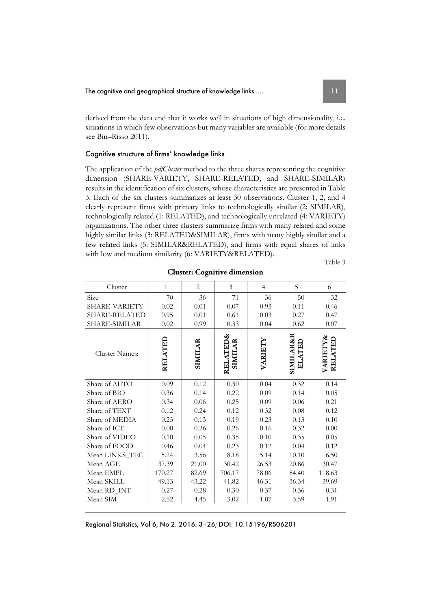derived from the data and that it works well in situations of high dimensionality, i.e. situations in which few observations but many variables are available (for more details see Bin–Risso 2011).

#### Cognitive structure of firms' knowledge links

The application of the *pdfCluster* method to the three shares representing the cognitive dimension (SHARE-VARIETY, SHARE-RELATED, and SHARE-SIMILAR) results in the identification of six clusters, whose characteristics are presented in Table 3. Each of the six clusters summarizes at least 30 observations. Cluster 1, 2, and 4 clearly represent firms with primary links to technologically similar (2: SIMILAR), technologically related (1: RELATED), and technologically unrelated (4: VARIETY) organizations. The other three clusters summarize firms with many related and some highly similar links (3: RELATED&SIMILAR), firms with many highly similar and a few related links (5: SIMILAR&RELATED), and firms with equal shares of links with low and medium similarity (6: VARIETY&RELATED).

Table 3

| Cluster              | $\mathbf{1}$ | $\overline{2}$ | 3                          | $\overline{4}$ | 5                                     | 6                   |
|----------------------|--------------|----------------|----------------------------|----------------|---------------------------------------|---------------------|
| Size                 | 70           | 36             | 71                         | 36             | 50                                    | 32                  |
| SHARE-VARIETY        | 0.02         | 0.01           | 0.07                       | 0.93           | 0.11                                  | 0.46                |
| <b>SHARE-RELATED</b> | 0.95         | 0.01           | 0.61                       | 0.03           | 0.27                                  | 0.47                |
| SHARE-SIMILAR        | 0.02         | 0.99           | 0.33                       | 0.04           | 0.62                                  | 0.07                |
| Cluster Names:       | RELATED      | <b>SIMILAR</b> | RELATED&<br><b>SIMILAR</b> | VARIETY        | <b>SIMILAR&amp;R</b><br><b>ELATEL</b> | VARIETY&<br>RELATED |
| Share of AUTO        | 0.09         | 0.12           | 0.30                       | 0.04           | 0.32                                  | 0.14                |
| Share of BIO         | 0.36         | 0.14           | 0.22                       | 0.09           | 0.14                                  | 0.05                |
| Share of AERO        | 0.34         | 0.06           | 0.25                       | 0.09           | 0.06                                  | 0.21                |
| Share of TEXT        | 0.12         | 0.24           | 0.12                       | 0.32           | 0.08                                  | 0.12                |
| Share of MEDIA       | 0.23         | 0.13           | 0.19                       | 0.23           | 0.13                                  | 0.10                |
| Share of ICT         | 0.00         | 0.26           | 0.26                       | 0.16           | 0.32                                  | 0.00                |
| Share of VIDEO       | 0.10         | 0.05           | 0.35                       | 0.10           | 0.35                                  | 0.05                |
| Share of FOOD        | 0.46         | 0.04           | 0.23                       | 0.12           | 0.04                                  | 0.12                |
| Mean LINKS_TEC       | 5.24         | 3.56           | 8.18                       | 5.14           | 10.10                                 | 6.50                |
| Mean AGE             | 37.39        | 21.00          | 30.42                      | 26.53          | 20.86                                 | 30.47               |
| Mean EMPL            | 170.27       | 82.69          | 706.17                     | 78.06          | 84.40                                 | 118.63              |
| Mean SKILL           | 49.13        | 43.22          | 41.82                      | 46.31          | 36.34                                 | 39.69               |
| Mean RD_INT          | 0.27         | 0.28           | 0.30                       | 0.37           | 0.36                                  | 0.31                |
| Mean SIM             | 2.52         | 4.45           | 3.02                       | 1.07           | 3.59                                  | 1.91                |

**Cluster: Cognitive dimension**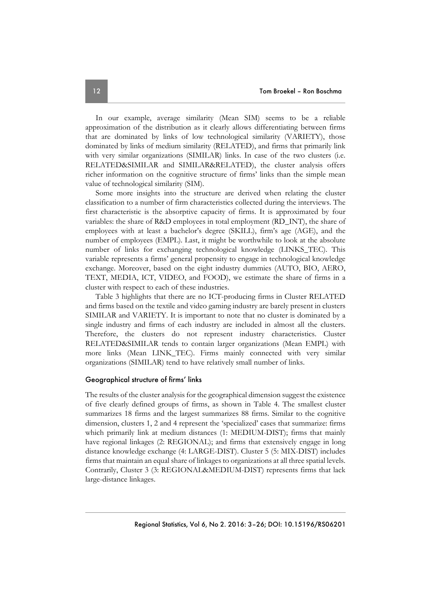In our example, average similarity (Mean SIM) seems to be a reliable approximation of the distribution as it clearly allows differentiating between firms that are dominated by links of low technological similarity (VARIETY), those dominated by links of medium similarity (RELATED), and firms that primarily link with very similar organizations (SIMILAR) links. In case of the two clusters (i.e. RELATED&SIMILAR and SIMILAR&RELATED), the cluster analysis offers richer information on the cognitive structure of firms' links than the simple mean value of technological similarity (SIM).

Some more insights into the structure are derived when relating the cluster classification to a number of firm characteristics collected during the interviews. The first characteristic is the absorptive capacity of firms. It is approximated by four variables: the share of R&D employees in total employment (RD\_INT), the share of employees with at least a bachelor's degree (SKILL), firm's age (AGE), and the number of employees (EMPL). Last, it might be worthwhile to look at the absolute number of links for exchanging technological knowledge (LINKS\_TEC). This variable represents a firms' general propensity to engage in technological knowledge exchange. Moreover, based on the eight industry dummies (AUTO, BIO, AERO, TEXT, MEDIA, ICT, VIDEO, and FOOD), we estimate the share of firms in a cluster with respect to each of these industries.

Table 3 highlights that there are no ICT-producing firms in Cluster RELATED and firms based on the textile and video gaming industry are barely present in clusters SIMILAR and VARIETY. It is important to note that no cluster is dominated by a single industry and firms of each industry are included in almost all the clusters. Therefore, the clusters do not represent industry characteristics. Cluster RELATED&SIMILAR tends to contain larger organizations (Mean EMPL) with more links (Mean LINK\_TEC). Firms mainly connected with very similar organizations (SIMILAR) tend to have relatively small number of links.

#### Geographical structure of firms' links

The results of the cluster analysis for the geographical dimension suggest the existence of five clearly defined groups of firms, as shown in Table 4. The smallest cluster summarizes 18 firms and the largest summarizes 88 firms. Similar to the cognitive dimension, clusters 1, 2 and 4 represent the 'specialized' cases that summarize: firms which primarily link at medium distances (1: MEDIUM-DIST); firms that mainly have regional linkages (2: REGIONAL); and firms that extensively engage in long distance knowledge exchange (4: LARGE-DIST). Cluster 5 (5: MIX-DIST) includes firms that maintain an equal share of linkages to organizations at all three spatial levels. Contrarily, Cluster 3 (3: REGIONAL&MEDIUM-DIST) represents firms that lack large-distance linkages.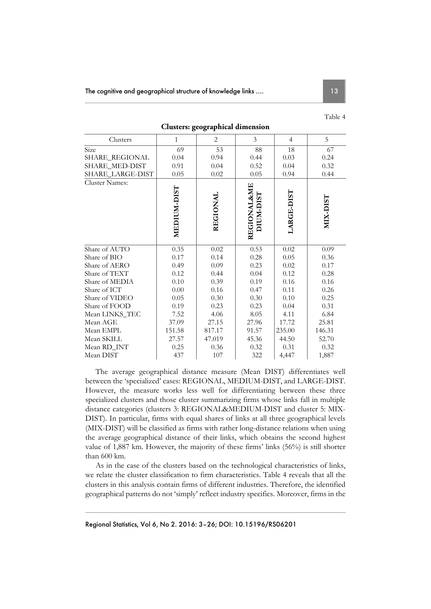| U |  |
|---|--|
|---|--|

| Clusters                    | $\mathbf{1}$ | $\overline{2}$ | $\overline{3}$           | $\overline{4}$ | 5        |
|-----------------------------|--------------|----------------|--------------------------|----------------|----------|
| $\overline{\mathrm{S}}$ ize | 69           | 53             | 88                       | 18             | 67       |
| SHARE_REGIONAL              | 0.04         | 0.94           | 0.44                     | 0.03           | 0.24     |
| SHARE_MED-DIST              | 0.91         | 0.04           | 0.52                     | 0.04           | 0.32     |
| SHARE_LARGE-DIST            | 0.05         | 0.02           | 0.05                     | 0.94           | 0.44     |
| Cluster Names:              | MEDIUM-DIST  | REGIONAL       | REGIONAL&ME<br>DIUM-DIST | LARGE-DIST     | MIX-DIST |
| Share of AUTO               | 0.35         | 0.02           | 0.53                     | 0.02           | 0.09     |
| Share of BIO                | 0.17         | 0.14           | 0.28                     | 0.05           | 0.36     |
| Share of AERO               | 0.49         | 0.09           | 0.23                     | 0.02           | 0.17     |
| Share of TEXT               | 0.12         | 0.44           | 0.04                     | 0.12           | 0.28     |
| Share of MEDIA              | 0.10         | 0.39           | 0.19                     | 0.16           | 0.16     |
| Share of ICT                | 0.00         | 0.16           | 0.47                     | 0.11           | 0.26     |
| Share of VIDEO              | 0.05         | 0.30           | 0.30                     | 0.10           | 0.25     |
| Share of FOOD               | 0.19         | 0.23           | 0.23                     | 0.04           | 0.31     |
| Mean LINKS_TEC              | 7.52         | 4.06           | 8.05                     | 4.11           | 6.84     |
| Mean AGE                    | 37.09        | 27.15          | 27.96                    | 17.72          | 25.81    |
| Mean EMPL                   | 151.58       | 817.17         | 91.57                    | 235.00         | 146.31   |
| Mean SKILL                  | 27.57        | 47.019         | 45.36                    | 44.50          | 52.70    |
| Mean RD_INT                 | 0.25         | 0.36           | 0.32                     | 0.31           | 0.32     |
| Mean DIST                   | 437          | 107            | 322                      | 4,447          | 1,887    |

**Clusters: geographical dimension** 

The average geographical distance measure (Mean DIST) differentiates well between the 'specialized' cases: REGIONAL, MEDIUM-DIST, and LARGE-DIST. However, the measure works less well for differentiating between these three specialized clusters and those cluster summarizing firms whose links fall in multiple distance categories (clusters 3: REGIONAL&MEDIUM-DIST and cluster 5: MIX-DIST). In particular, firms with equal shares of links at all three geographical levels (MIX-DIST) will be classified as firms with rather long-distance relations when using the average geographical distance of their links, which obtains the second highest value of 1,887 km. However, the majority of these firms' links (56%) is still shorter than 600 km.

As in the case of the clusters based on the technological characteristics of links, we relate the cluster classification to firm characteristics. Table 4 reveals that all the clusters in this analysis contain firms of different industries. Therefore, the identified geographical patterns do not 'simply' reflect industry specifics. Moreover, firms in the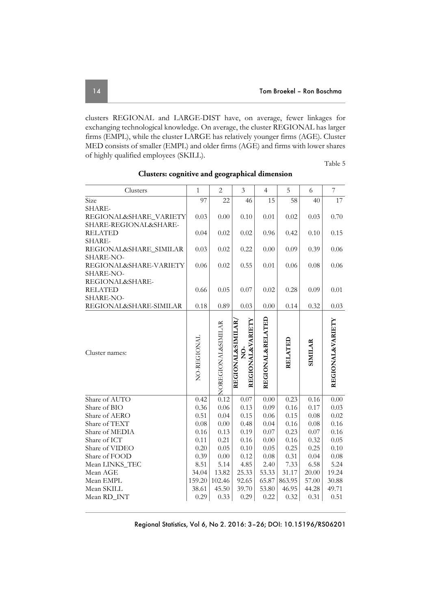clusters REGIONAL and LARGE-DIST have, on average, fewer linkages for exchanging technological knowledge. On average, the cluster REGIONAL has larger firms (EMPL), while the cluster LARGE has relatively younger firms (AGE). Cluster MED consists of smaller (EMPL) and older firms (AGE) and firms with lower shares of highly qualified employees (SKILL).

Table 5

| Clusters                         | $\mathbf{1}$ | $\overline{2}$     | 3                                    | $\overline{4}$   | 5       | 6              | 7                           |
|----------------------------------|--------------|--------------------|--------------------------------------|------------------|---------|----------------|-----------------------------|
| Size                             | 97           | 22                 | 46                                   | 15               | 58      | 40             | 17                          |
| SHARE-                           |              |                    |                                      |                  |         |                |                             |
| REGIONAL&SHARE_VARIETY           | 0.03         | 0.00               | 0.10                                 | 0.01             | 0.02    | 0.03           | 0.70                        |
| SHARE-REGIONAL&SHARE-            |              |                    |                                      |                  |         |                |                             |
| <b>RELATED</b>                   | 0.04         | 0.02               | 0.02                                 | 0.96             | 0.42    | 0.10           | 0.15                        |
| SHARE-<br>REGIONAL&SHARE_SIMILAR | 0.03         | 0.02               | 0.22                                 | 0.00             | 0.09    | 0.39           | 0.06                        |
| SHARE-NO-                        |              |                    |                                      |                  |         |                |                             |
| REGIONAL&SHARE-VARIETY           | 0.06         | 0.02               | 0.55                                 | 0.01             | 0.06    | 0.08           | 0.06                        |
| SHARE-NO-                        |              |                    |                                      |                  |         |                |                             |
| REGIONAL&SHARE-                  |              |                    |                                      |                  |         |                |                             |
| <b>RELATED</b>                   | 0.66         | 0.05               | 0.07                                 | 0.02             | 0.28    | 0.09           | 0.01                        |
| SHARE-NO-                        |              |                    |                                      |                  |         |                |                             |
| REGIONAL&SHARE-SIMILAR           | 0.18         | 0.89               | 0.03                                 | 0.00             | 0.14    | 0.32           | 0.03                        |
|                                  |              |                    | REGIONAL&VARIETY<br>REGIONAL&SIMILAR | REGIONAL&RELATED |         |                | <b>REGIONAL&amp;VARIETY</b> |
|                                  |              |                    |                                      |                  |         |                |                             |
|                                  | NO-REGIONAL  |                    |                                      |                  | RELATED | <b>SIMILAR</b> |                             |
| Cluster names:                   |              |                    | $\frac{6}{2}$                        |                  |         |                |                             |
|                                  |              |                    |                                      |                  |         |                |                             |
|                                  |              |                    |                                      |                  |         |                |                             |
|                                  |              | NOREGIONAL&SIMILAR |                                      |                  |         |                |                             |
| Share of AUTO                    | 0.42         | 0.12               | 0.07                                 | 0.00             | 0.23    | 0.16           | 0.00                        |
| Share of BIO                     | 0.36         | 0.06               | 0.13                                 | 0.09             | 0.16    | 0.17           | 0.03                        |
| Share of AERO                    | 0.51         | 0.04               | 0.15                                 | 0.06             | 0.15    | 0.08           | 0.02                        |
| Share of TEXT                    | 0.08         | 0.00               | 0.48                                 | 0.04             | 0.16    | 0.08           | 0.16                        |
| Share of MEDIA                   | 0.16         | 0.13               | 0.19                                 | 0.07             | 0.23    | 0.07           | 0.16                        |
| Share of ICT                     | 0.11         | 0.21               | 0.16                                 | 0.00             | 0.16    | 0.32           | 0.05                        |
| Share of VIDEO                   | 0.20         | 0.05               | 0.10                                 | 0.05             | 0.25    | 0.25           | 0.10                        |
| Share of FOOD                    | 0.39         | 0.00               | 0.12                                 | 0.08             | 0.31    | 0.04           | 0.08                        |
| Mean LINKS_TEC                   | 8.51         | 5.14               | 4.85                                 | 2.40             | 7.33    | 6.58           | 5.24                        |
| Mean AGE                         | 34.04        | 13.82              | 25.33                                | 53.33            | 31.17   | 20.00          | 19.24                       |
| Mean EMPL                        | 159.20       | 102.46             | 92.65                                | 65.87            | 863.95  | 57.00          | 30.88                       |
| Mean SKILL                       | 38.61        | 45.50              | 39.70                                | 53.80            | 46.95   | 44.28          | 49.71                       |
| Mean RD_INT                      | 0.29         | 0.33               | 0.29                                 | 0.22             | 0.32    | 0.31           | 0.51                        |

**Clusters: cognitive and geographical dimension**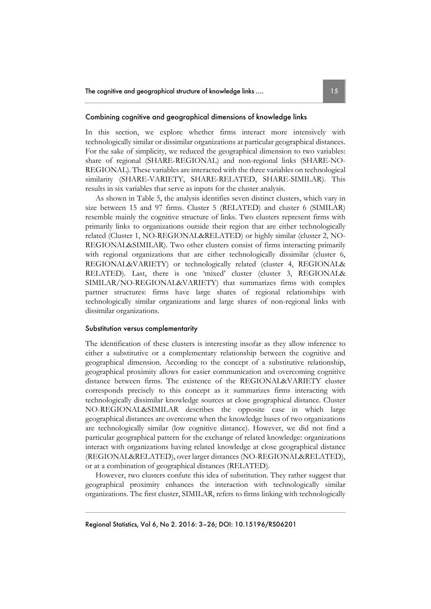#### Combining cognitive and geographical dimensions of knowledge links

In this section, we explore whether firms interact more intensively with technologically similar or dissimilar organizations at particular geographical distances. For the sake of simplicity, we reduced the geographical dimension to two variables: share of regional (SHARE-REGIONAL) and non-regional links (SHARE-NO-REGIONAL). These variables are interacted with the three variables on technological similarity (SHARE-VARIETY, SHARE-RELATED, SHARE-SIMILAR). This results in six variables that serve as inputs for the cluster analysis.

As shown in Table 5, the analysis identifies seven distinct clusters, which vary in size between 15 and 97 firms. Cluster 5 (RELATED) and cluster 6 (SIMILAR) resemble mainly the cognitive structure of links. Two clusters represent firms with primarily links to organizations outside their region that are either technologically related (Cluster 1, NO-REGIONAL&RELATED) or highly similar (cluster 2, NO-REGIONAL&SIMILAR). Two other clusters consist of firms interacting primarily with regional organizations that are either technologically dissimilar (cluster 6, REGIONAL&VARIETY) or technologically related (cluster 4, REGIONAL& RELATED). Last, there is one 'mixed' cluster (cluster 3, REGIONAL& SIMILAR/NO-REGIONAL&VARIETY) that summarizes firms with complex partner structures: firms have large shares of regional relationships with technologically similar organizations and large shares of non-regional links with dissimilar organizations.

#### Substitution versus complementarity

The identification of these clusters is interesting insofar as they allow inference to either a substitutive or a complementary relationship between the cognitive and geographical dimension. According to the concept of a substitutive relationship, geographical proximity allows for easier communication and overcoming cognitive distance between firms. The existence of the REGIONAL&VARIETY cluster corresponds precisely to this concept as it summarizes firms interacting with technologically dissimilar knowledge sources at close geographical distance. Cluster NO-REGIONAL&SIMILAR describes the opposite case in which large geographical distances are overcome when the knowledge bases of two organizations are technologically similar (low cognitive distance). However, we did not find a particular geographical pattern for the exchange of related knowledge: organizations interact with organizations having related knowledge at close geographical distance (REGIONAL&RELATED), over larger distances (NO-REGIONAL&RELATED), or at a combination of geographical distances (RELATED).

However, two clusters confute this idea of substitution. They rather suggest that geographical proximity enhances the interaction with technologically similar organizations. The first cluster, SIMILAR, refers to firms linking with technologically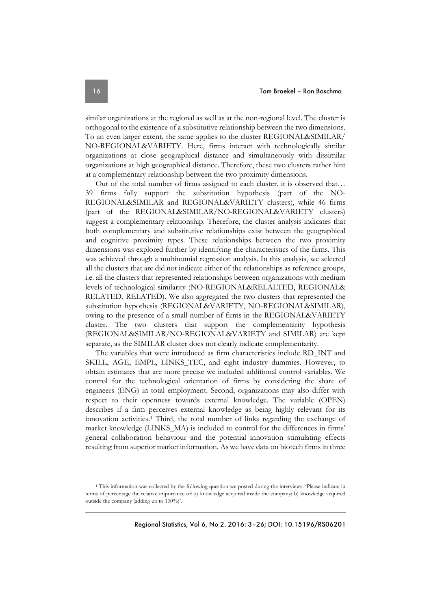similar organizations at the regional as well as at the non-regional level. The cluster is orthogonal to the existence of a substitutive relationship between the two dimensions. To an even larger extent, the same applies to the cluster REGIONAL&SIMILAR/ NO-REGIONAL&VARIETY. Here, firms interact with technologically similar organizations at close geographical distance and simultaneously with dissimilar organizations at high geographical distance. Therefore, these two clusters rather hint at a complementary relationship between the two proximity dimensions.

Out of the total number of firms assigned to each cluster, it is observed that… 39 firms fully support the substitution hypothesis (part of the NO-REGIONAL&SIMILAR and REGIONAL&VARIETY clusters), while 46 firms (part of the REGIONAL&SIMILAR/NO-REGIONAL&VARIETY clusters) suggest a complementary relationship. Therefore, the cluster analysis indicates that both complementary and substitutive relationships exist between the geographical and cognitive proximity types. These relationships between the two proximity dimensions was explored further by identifying the characteristics of the firms. This was achieved through a multinomial regression analysis. In this analysis, we selected all the clusters that are did not indicate either of the relationships as reference groups, i.e. all the clusters that represented relationships between organizations with medium levels of technological similarity (NO-REGIONAL&RELALTED, REGIONAL& RELATED, RELATED). We also aggregated the two clusters that represented the substitution hypothesis (REGIONAL&VARIETY, NO-REGIONAL&SIMILAR), owing to the presence of a small number of firms in the REGIONAL&VARIETY cluster. The two clusters that support the complementarity hypothesis (REGIONAL&SIMILAR/NO-REGIONAL&VARIETY and SIMILAR) are kept separate, as the SIMILAR cluster does not clearly indicate complementarity.

The variables that were introduced as firm characteristics include RD\_INT and SKILL, AGE, EMPL, LINKS\_TEC, and eight industry dummies. However, to obtain estimates that are more precise we included additional control variables. We control for the technological orientation of firms by considering the share of engineers (ENG) in total employment. Second, organizations may also differ with respect to their openness towards external knowledge. The variable (OPEN) describes if a firm perceives external knowledge as being highly relevant for its innovation activities.1 Third, the total number of links regarding the exchange of market knowledge (LINKS\_MA) is included to control for the differences in firms' general collaboration behaviour and the potential innovation stimulating effects resulting from superior market information. As we have data on biotech firms in three

<sup>&</sup>lt;sup>1</sup> This information was collected by the following question we posted during the interviews: 'Please indicate in terms of percentage the relative importance of: a) knowledge acquired inside the company; b) knowledge acquired outside the company (adding up to 100%)'.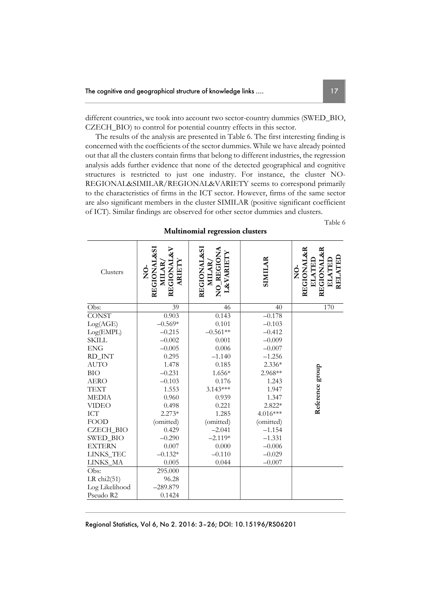different countries, we took into account two sector-country dummies (SWED\_BIO, CZECH\_BIO) to control for potential country effects in this sector.

The results of the analysis are presented in Table 6. The first interesting finding is concerned with the coefficients of the sector dummies. While we have already pointed out that all the clusters contain firms that belong to different industries, the regression analysis adds further evidence that none of the detected geographical and cognitive structures is restricted to just one industry. For instance, the cluster NO-REGIONAL&SIMILAR/REGIONAL&VARIETY seems to correspond primarily to the characteristics of firms in the ICT sector. However, firms of the same sector are also significant members in the cluster SIMILAR (positive significant coefficient of ICT). Similar findings are observed for other sector dummies and clusters.

Table 6

| Clusters         | <b>REGIONAL&amp;SI</b><br>REGIONAL&V<br>ARIETY<br><b>MILAR</b><br>$\frac{1}{2}$ | <b>REGIONAL&amp;SI</b><br>NO_REGIONA<br><b>L&amp;VARIETY</b><br>MILAR, | SIMILAR   | <b>REGIONAL&amp;R</b><br>REGIONAL&R<br>RELATED<br><b>ELATED</b><br><b>ELATEL</b><br>ģ |
|------------------|---------------------------------------------------------------------------------|------------------------------------------------------------------------|-----------|---------------------------------------------------------------------------------------|
| Obs:             | 39                                                                              | 46                                                                     | 40        | 170                                                                                   |
| <b>CONST</b>     | 0.903                                                                           | $\overline{0.1}43$                                                     | $-0.178$  |                                                                                       |
| Log(AGE)         | $-0.569*$                                                                       | 0.101                                                                  | $-0.103$  |                                                                                       |
| Log(EMPL)        | $-0.215$                                                                        | $-0.561**$                                                             | $-0.412$  |                                                                                       |
| <b>SKILL</b>     | $-0.002$                                                                        | 0.001                                                                  | $-0.009$  |                                                                                       |
| <b>ENG</b>       | $-0.005$                                                                        | 0.006                                                                  | $-0.007$  |                                                                                       |
| RD_INT           | 0.295                                                                           | $-1.140$                                                               | $-1.256$  |                                                                                       |
| <b>AUTO</b>      | 1.478                                                                           | 0.185                                                                  | 2.336*    |                                                                                       |
| <b>BIO</b>       | $-0.231$                                                                        | 1.656*                                                                 | 2.968**   | Reference group                                                                       |
| <b>AERO</b>      | $-0.103$                                                                        | 0.176                                                                  | 1.243     |                                                                                       |
| <b>TEXT</b>      | 1.553                                                                           | 3.143***                                                               | 1.947     |                                                                                       |
| <b>MEDIA</b>     | 0.960                                                                           | 0.939                                                                  | 1.347     |                                                                                       |
| <b>VIDEO</b>     | 0.498                                                                           | 0.221                                                                  | 2.822*    |                                                                                       |
| ICT              | $2.273*$                                                                        | 1.285                                                                  | 4.016***  |                                                                                       |
| <b>FOOD</b>      | (omitted)                                                                       | (omitted)                                                              | (omitted) |                                                                                       |
| <b>CZECH_BIO</b> | 0.429                                                                           | $-2.041$                                                               | $-1.154$  |                                                                                       |
| SWED_BIO         | $-0.290$                                                                        | $-2.119*$                                                              | $-1.331$  |                                                                                       |
| <b>EXTERN</b>    | 0.007                                                                           | 0.000                                                                  | $-0.006$  |                                                                                       |
| LINKS_TEC        | $-0.132*$                                                                       | $-0.110$                                                               | $-0.029$  |                                                                                       |
| LINKS_MA         | 0.005                                                                           | 0.044                                                                  | $-0.007$  |                                                                                       |
| Obs:             | 295.000                                                                         |                                                                        |           |                                                                                       |
| LR $chi2(51)$    | 96.28                                                                           |                                                                        |           |                                                                                       |
| Log Likelihood   | $-289.879$                                                                      |                                                                        |           |                                                                                       |
| Pseudo R2        | 0.1424                                                                          |                                                                        |           |                                                                                       |

**Multinomial regression clusters**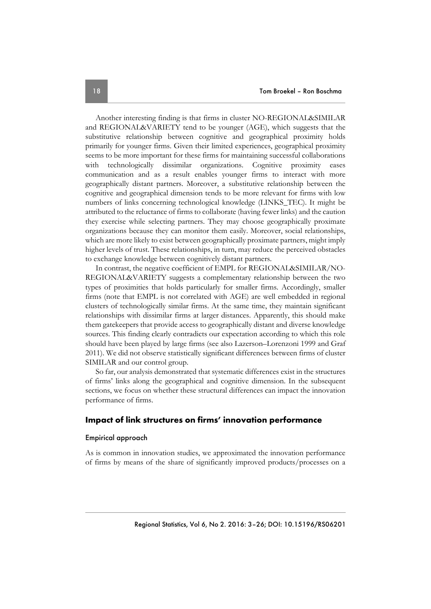Another interesting finding is that firms in cluster NO-REGIONAL&SIMILAR and REGIONAL&VARIETY tend to be younger (AGE), which suggests that the substitutive relationship between cognitive and geographical proximity holds primarily for younger firms. Given their limited experiences, geographical proximity seems to be more important for these firms for maintaining successful collaborations with technologically dissimilar organizations. Cognitive proximity eases communication and as a result enables younger firms to interact with more geographically distant partners. Moreover, a substitutive relationship between the cognitive and geographical dimension tends to be more relevant for firms with low numbers of links concerning technological knowledge (LINKS\_TEC). It might be attributed to the reluctance of firms to collaborate (having fewer links) and the caution they exercise while selecting partners. They may choose geographically proximate organizations because they can monitor them easily. Moreover, social relationships, which are more likely to exist between geographically proximate partners, might imply higher levels of trust. These relationships, in turn, may reduce the perceived obstacles to exchange knowledge between cognitively distant partners.

In contrast, the negative coefficient of EMPL for REGIONAL&SIMILAR/NO-REGIONAL&VARIETY suggests a complementary relationship between the two types of proximities that holds particularly for smaller firms. Accordingly, smaller firms (note that EMPL is not correlated with AGE) are well embedded in regional clusters of technologically similar firms. At the same time, they maintain significant relationships with dissimilar firms at larger distances. Apparently, this should make them gatekeepers that provide access to geographically distant and diverse knowledge sources. This finding clearly contradicts our expectation according to which this role should have been played by large firms (see also Lazerson–Lorenzoni 1999 and Graf 2011). We did not observe statistically significant differences between firms of cluster SIMILAR and our control group.

So far, our analysis demonstrated that systematic differences exist in the structures of firms' links along the geographical and cognitive dimension. In the subsequent sections, we focus on whether these structural differences can impact the innovation performance of firms.

#### **Impact of link structures on firms' innovation performance**

#### Empirical approach

As is common in innovation studies, we approximated the innovation performance of firms by means of the share of significantly improved products/processes on a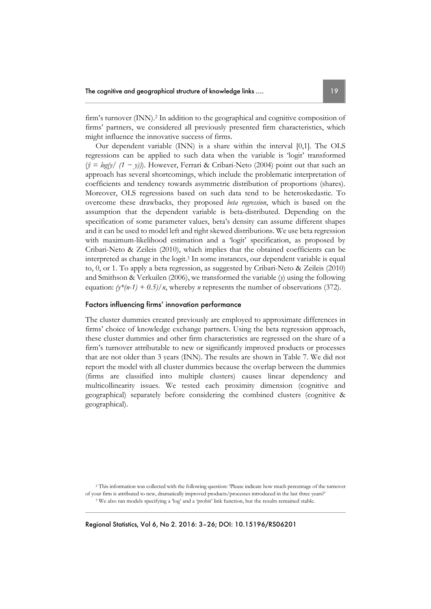firm's turnover (INN).2 In addition to the geographical and cognitive composition of firms' partners, we considered all previously presented firm characteristics, which might influence the innovative success of firms.

Our dependent variable (INN) is a share within the interval [0,1]. The OLS regressions can be applied to such data when the variable is 'logit' transformed (*ŷ = log(y/ (1 − y))*). However, Ferrari & Cribari-Neto (2004) point out that such an approach has several shortcomings, which include the problematic interpretation of coefficients and tendency towards asymmetric distribution of proportions (shares). Moreover, OLS regressions based on such data tend to be heteroskedastic. To overcome these drawbacks, they proposed *beta regression*, which is based on the assumption that the dependent variable is beta-distributed. Depending on the specification of some parameter values, beta's density can assume different shapes and it can be used to model left and right skewed distributions. We use beta regression with maximum-likelihood estimation and a 'logit' specification, as proposed by Cribari-Neto & Zeileis (2010), which implies that the obtained coefficients can be interpreted as change in the logit.3 In some instances, our dependent variable is equal to, 0, or 1. To apply a beta regression, as suggested by Cribari-Neto & Zeileis (2010) and Smithson & Verkuilen (2006), we transformed the variable (*y*) using the following equation:  $(y^*(n-1) + 0.5)/n$ , whereby *n* represents the number of observations (372).

#### Factors influencing firms' innovation performance

The cluster dummies created previously are employed to approximate differences in firms' choice of knowledge exchange partners. Using the beta regression approach, these cluster dummies and other firm characteristics are regressed on the share of a firm's turnover attributable to new or significantly improved products or processes that are not older than 3 years (INN). The results are shown in Table 7. We did not report the model with all cluster dummies because the overlap between the dummies (firms are classified into multiple clusters) causes linear dependency and multicollinearity issues. We tested each proximity dimension (cognitive and geographical) separately before considering the combined clusters (cognitive & geographical).

<sup>2</sup> This information was collected with the following question: 'Please indicate how much percentage of the turnover of your firm is attributed to new, dramatically improved products/processes introduced in the last three years?' <sup>3</sup> We also ran models specifying a 'log' and a 'probit' link function, but the results remained stable.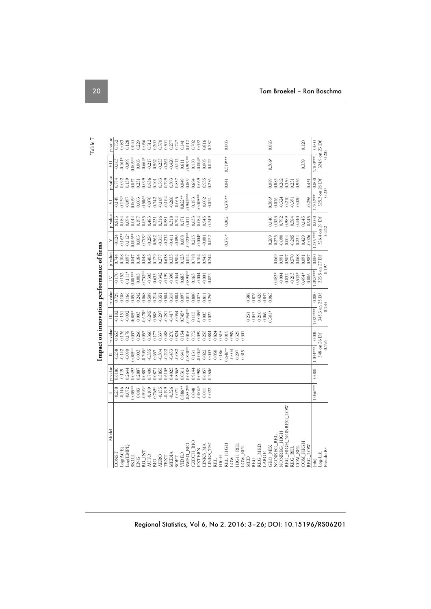|                                              |                      |         |                       |         |                         |                       | Impact on innovation performance of firms |         |                         |         |                         |                |                         |                                                                 |
|----------------------------------------------|----------------------|---------|-----------------------|---------|-------------------------|-----------------------|-------------------------------------------|---------|-------------------------|---------|-------------------------|----------------|-------------------------|-----------------------------------------------------------------|
| Model                                        |                      | p-value | $\Box$                | p-value | $\Xi$                   | p-value               | $\geq$                                    | p-value | $\triangleright$        | p-value | ⋝                       | p-value        | 買                       | p-value                                                         |
| <b>CONST</b>                                 | $-0.258$<br>$-0.146$ | 0.6186  | $-0.238$              | 0.653   | $-0.182$                | $\frac{0.729}{0.108}$ | $-0.170$                                  | 0.744   | $-0.124$                | 0.813   | $-0.149$                | 0.774          | $-0.163$                | 0.752                                                           |
| Log(AGE)                                     |                      | 0.119   | $-0.142$              | 0.136   | 0.151                   |                       | $-0.152$                                  | 0.108   | $-0.163*$               | 0.084   | $0.159*$                | 0.092          | $0.161*$                | 0.083                                                           |
| Log(EMPL)                                    | $-0.072$             | 0.2644  | $-0.090$              | 0.178   | $-0.092$                | 0.166                 | $-0.111*$                                 | 0.097   | $-0.112*$               | 0.094   | $-0.097$                | 0.139          | $-0.099$                | 0.128                                                           |
| <b>SKILL</b>                                 | $0.005**$            | 0.0493  | $0.005**$             | 0.037   | $0.005*$                | 0.052                 | $0.005**$                                 | 0.047   | $0.005**$               | 0.044   | $0.005*$                | 0.057          | $0.005**$               | 0.040                                                           |
| C<br>召                                       | 0.003                | 0.2887  | 0.003                 | 0.260   | 0.003                   | 0.242                 | 0.003                                     | 0.184   | 0.003                   | 0.197   | 0.003                   | 0.231          | 0.003                   | 0.229                                                           |
| $\mathbf{R}\mathbf{D}\_\mathbf{N}\mathbf{T}$ | $-0.596*$            | 0.0887  | $0.705*$              | 0.057   | $-0.678*$               | 0.068                 | $-0.732**$                                | 0.048   | $-0.709*$               | 0.055   | $-0.586*$               | 0.099          | $-0.664*$               | 0.056                                                           |
| <b>AUTO</b>                                  | $-0.109$             | 0.7408  | $-0.335$              | 0.360   | $-0.245$                | 0.508                 | $-0.305$                                  | 0.403   | $-0.256$                | 0.483   | $-0.070$                | 0.836          | $-0.217$                |                                                                 |
| BIO                                          | $0.765*$             | 0.0871  | 0.637                 | 0.177   | 0.588                   | 0.214                 | 0.633                                     | 0.179   | 0.562                   | 0.231   | 0.742                   | 0.101          |                         |                                                                 |
| AERO                                         | $-0.155$             | 0.5855  | $-0.304$              | 0.337   | $-0.297$                | 0.351                 | $-0.342$                                  | 0.277   | $-0.315$                | 0.316   | $-0.169$                | 0.563<br>0.799 | 0.562<br>0.255<br>0.262 | $\begin{array}{c} 0.512 \\ 0.209 \\ 0.370 \\ 0.501 \end{array}$ |
| TEXT                                         | $-0.199$             | 0.6105  | $-0.292$              | 0.488   | $-0.281$                | 0.504                 | $-0.199$                                  | 0.638   | $-0.232$                | 0.581   | $-0.104$                |                |                         |                                                                 |
| MEDIA                                        | $-0.326$             | 0.4025  | $-0.453$              | 0.276   | $-0.417$                | 0.318                 | $-0.398$                                  |         | $-0.411$                | 0.318   | $-0.266$                | 0.503          | $-0.420$                | 0.277<br>0.747<br>0.141                                         |
| SOFT                                         | $0.071\,$            | 0.8365  | $-0.082$              | 0.824   | $-0.054$                | 0.884                 | $-0.044$                                  | 0.335   | $-0.096$<br>$0.608$     | 0.794   | 0.063                   | 0.857          | $-0.112$                |                                                                 |
| VIDEO                                        | $0.886**$            | 0.0311  | 0.641                 | 0.154   | $0.745*$                | 0.097                 | 0.685                                     | 0.123   |                         | 0.171   | $0.822**$               | 0.049          | 0.611                   |                                                                 |
| <b>OIR THANS</b>                             | $0.852**$            | 0.0185  | $0.890**$             | 0.016   | $0.934**$               | 0.011                 | $0.893**$                                 | 0.014   | $0.923**$               | 0.011   | $0.942***$              | 0.009          | $0.909**$               | 0.012                                                           |
| CZECH_BIO                                    | 0.048                | 0.9144  | 0.131                 | 0.772   | 0.115                   | 0.800                 | 0.163                                     | 0.718   | 0.215                   | 0.633   | 0.183                   | 0.684          | 0.170                   | 0.702                                                           |
| EXTERN                                       | $0.004*$             | 0.0989  | $-0.004*$             | 0.099   | $0.005*$                | 0.075                 | $-0.004$                                  | 0.104   | $0.004*$                | 0.084   | $0.005**$               | 0.069          | $0.004*$                | 0.092                                                           |
| LINKS_MA                                     | 0.011                | 0.6057  | 0.022                 | 0.255   | 0.005                   | 0.811                 | $-0.001$                                  | 0.945   | $-0.001$                | 0.945   | $0.002\,$               | 0.935          | 0.005                   | $\bf 0.816$                                                     |
| LINKS_TEC                                    | 0.022                | 0.2506  | 0.003                 | 0.884   | 0.022                   | 0.256                 | 0.022                                     | 0.244   | 0.022                   | 0.249   | 0.022                   | 0.256          | 0.022                   | 0.257                                                           |
| RFL.                                         |                      |         | 0.058                 | 0.824   |                         |                       |                                           |         |                         |         |                         |                |                         |                                                                 |
| <b>HIGH</b>                                  |                      |         | 0.186                 | 0.515   |                         |                       |                                           |         |                         |         |                         |                |                         |                                                                 |
| REL_HIGH                                     |                      |         | 1.646**               | 0.019   |                         |                       |                                           |         | $0.376*$                | 0.062   | $0.370**$               | 0.041          | $0.519***$              | 0.003                                                           |
| LOW                                          |                      |         | $-0.004$              | 0.989   |                         |                       |                                           |         |                         |         |                         |                |                         |                                                                 |
| HIGH_REL                                     |                      |         | 0.297                 | 0.329   |                         |                       |                                           |         |                         |         |                         |                |                         |                                                                 |
| LOW_REL                                      |                      |         | 0.319                 | 0.301   |                         |                       |                                           |         |                         |         |                         |                |                         |                                                                 |
| MED                                          |                      |         |                       |         | 0.231                   | 0.388                 |                                           |         |                         |         |                         |                |                         |                                                                 |
| REG                                          |                      |         |                       |         | 0.210<br>0.043          | 0.876<br>0.426        |                                           |         |                         |         |                         |                |                         |                                                                 |
| REG MED<br>LARGE                             |                      |         |                       |         | 0.069                   | 0.847                 |                                           |         |                         |         |                         |                |                         |                                                                 |
| <b>GEO_MIX</b>                               |                      |         |                       |         | $0.501*$                | 0.065                 |                                           |         | 0.269                   | 0.140   | $0.306*$                | 0.089          | $0.306*$                | 0.083                                                           |
| NONREG_REL                                   |                      |         |                       |         |                         |                       | $0.483*$                                  | 0.069   | 0.275                   | 0.323   | 0.026                   | 0.883          |                         |                                                                 |
| NONREG_HIGH                                  |                      |         |                       |         |                         |                       | $-0.004$                                  | 0.991   | $-0.090$                | 0.792   | $-0.324$                | 0.262          |                         |                                                                 |
| REG_HIGH_NONREG_LOW                          |                      |         |                       |         |                         |                       | 0.032                                     | 0.907   | 0.004                   | 0.989   | $-0.210$                | 0.330          |                         |                                                                 |
| REG_REL                                      |                      |         |                       |         |                         |                       | $-0.213$                                  | 0.570   | $-0.205$                | 0.584   | $-0.391$                | 0.251          |                         |                                                                 |
| COM_REL                                      |                      |         |                       |         |                         |                       | $0.512*$                                  | 0.068   | 0.234                   | 0.440   | $-0.020$                |                |                         |                                                                 |
| COM_HIGH                                     |                      |         |                       |         |                         |                       | $0.494*$                                  | 0.091   | 0.429                   | 0.145   |                         |                | 0.339                   | 0.120                                                           |
| REG_LOW<br>(phi)                             |                      |         |                       |         |                         |                       | 0.006                                     | 0.987   | $-0.026$                | 0.945   | $-0.256$                | 0.431          |                         |                                                                 |
|                                              | $1.056***$           | 0.000   | $1.044***$            | 0.000   | $1.027***$              | 0.000                 | $1.092***$                                | 0.000   | $1.109***$              | 0.000   | $1.102***$              | 0.000          | $1.100***$              | 0.000                                                           |
| Pseudo $R^2$<br>$\rm Log\mbox{-}Lik.$        |                      |         | 348 on 26 Df<br>0.196 |         | 345.3 on 25 Df<br>0.183 |                       | 323.5 on 27 Df<br>0.197                   |         | 326.4 on 29 Df<br>0.212 |         | 325.3 on 28 Df<br>0.207 |                | 324.9 on 23 Df<br>0.205 |                                                                 |
|                                              |                      |         |                       |         |                         |                       |                                           |         |                         |         |                         |                |                         |                                                                 |

Table 7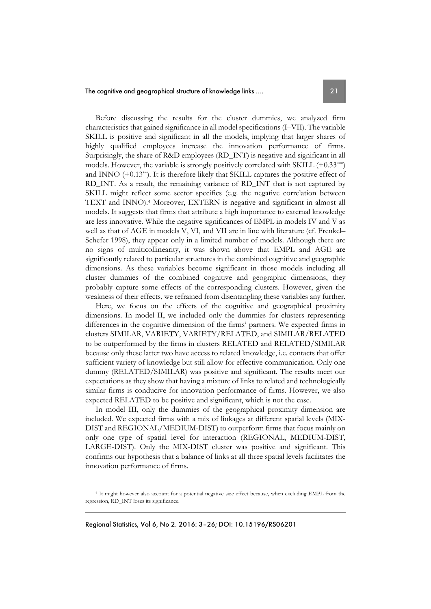Before discussing the results for the cluster dummies, we analyzed firm characteristics that gained significance in all model specifications (I–VII). The variable SKILL is positive and significant in all the models, implying that larger shares of highly qualified employees increase the innovation performance of firms. Surprisingly, the share of R&D employees (RD\_INT) is negative and significant in all models. However, the variable is strongly positively correlated with SKILL (+0.33\*\*\*) and INNO (+0.13\*\*). It is therefore likely that SKILL captures the positive effect of RD\_INT. As a result, the remaining variance of RD\_INT that is not captured by SKILL might reflect some sector specifics (e.g. the negative correlation between TEXT and INNO).4 Moreover, EXTERN is negative and significant in almost all models. It suggests that firms that attribute a high importance to external knowledge are less innovative. While the negative significances of EMPL in models IV and V as well as that of AGE in models V, VI, and VII are in line with literature (cf. Frenkel– Schefer 1998), they appear only in a limited number of models. Although there are no signs of multicollinearity, it was shown above that EMPL and AGE are significantly related to particular structures in the combined cognitive and geographic dimensions. As these variables become significant in those models including all cluster dummies of the combined cognitive and geographic dimensions, they probably capture some effects of the corresponding clusters. However, given the weakness of their effects, we refrained from disentangling these variables any further.

Here, we focus on the effects of the cognitive and geographical proximity dimensions. In model II, we included only the dummies for clusters representing differences in the cognitive dimension of the firms' partners. We expected firms in clusters SIMILAR, VARIETY, VARIETY/RELATED, and SIMILAR/RELATED to be outperformed by the firms in clusters RELATED and RELATED/SIMILAR because only these latter two have access to related knowledge, i.e. contacts that offer sufficient variety of knowledge but still allow for effective communication. Only one dummy (RELATED/SIMILAR) was positive and significant. The results meet our expectations as they show that having a mixture of links to related and technologically similar firms is conducive for innovation performance of firms. However, we also expected RELATED to be positive and significant, which is not the case.

In model III, only the dummies of the geographical proximity dimension are included. We expected firms with a mix of linkages at different spatial levels (MIX-DIST and REGIONAL/MEDIUM-DIST) to outperform firms that focus mainly on only one type of spatial level for interaction (REGIONAL, MEDIUM-DIST, LARGE-DIST). Only the MIX-DIST cluster was positive and significant. This confirms our hypothesis that a balance of links at all three spatial levels facilitates the innovation performance of firms.

<sup>4</sup> It might however also account for a potential negative size effect because, when excluding EMPL from the regression, RD\_INT loses its significance.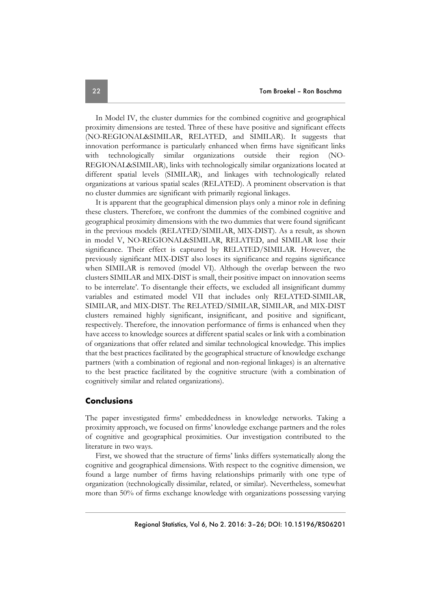In Model IV, the cluster dummies for the combined cognitive and geographical proximity dimensions are tested. Three of these have positive and significant effects (NO-REGIONAL&SIMILAR, RELATED, and SIMILAR). It suggests that innovation performance is particularly enhanced when firms have significant links with technologically similar organizations outside their region (NO-REGIONAL&SIMILAR), links with technologically similar organizations located at different spatial levels (SIMILAR), and linkages with technologically related organizations at various spatial scales (RELATED). A prominent observation is that no cluster dummies are significant with primarily regional linkages.

It is apparent that the geographical dimension plays only a minor role in defining these clusters. Therefore, we confront the dummies of the combined cognitive and geographical proximity dimensions with the two dummies that were found significant in the previous models (RELATED/SIMILAR, MIX-DIST). As a result, as shown in model V, NO-REGIONAL&SIMILAR, RELATED, and SIMILAR lose their significance. Their effect is captured by RELATED/SIMILAR. However, the previously significant MIX-DIST also loses its significance and regains significance when SIMILAR is removed (model VI). Although the overlap between the two clusters SIMILAR and MIX-DIST is small, their positive impact on innovation seems to be interrelate'. To disentangle their effects, we excluded all insignificant dummy variables and estimated model VII that includes only RELATED-SIMILAR, SIMILAR, and MIX-DIST. The RELATED/SIMILAR, SIMILAR, and MIX-DIST clusters remained highly significant, insignificant, and positive and significant, respectively. Therefore, the innovation performance of firms is enhanced when they have access to knowledge sources at different spatial scales or link with a combination of organizations that offer related and similar technological knowledge. This implies that the best practices facilitated by the geographical structure of knowledge exchange partners (with a combination of regional and non-regional linkages) is an alternative to the best practice facilitated by the cognitive structure (with a combination of cognitively similar and related organizations).

#### **Conclusions**

The paper investigated firms' embeddedness in knowledge networks. Taking a proximity approach, we focused on firms' knowledge exchange partners and the roles of cognitive and geographical proximities. Our investigation contributed to the literature in two ways.

First, we showed that the structure of firms' links differs systematically along the cognitive and geographical dimensions. With respect to the cognitive dimension, we found a large number of firms having relationships primarily with one type of organization (technologically dissimilar, related, or similar). Nevertheless, somewhat more than 50% of firms exchange knowledge with organizations possessing varying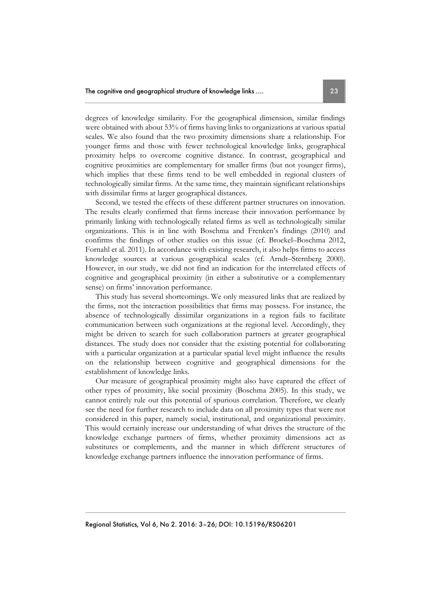degrees of knowledge similarity. For the geographical dimension, similar findings were obtained with about 53% of firms having links to organizations at various spatial scales. We also found that the two proximity dimensions share a relationship. For younger firms and those with fewer technological knowledge links, geographical proximity helps to overcome cognitive distance. In contrast, geographical and cognitive proximities are complementary for smaller firms (but not younger firms), which implies that these firms tend to be well embedded in regional clusters of technologically similar firms. At the same time, they maintain significant relationships with dissimilar firms at larger geographical distances.

Second, we tested the effects of these different partner structures on innovation. The results clearly confirmed that firms increase their innovation performance by primarily linking with technologically related firms as well as technologically similar organizations. This is in line with Boschma and Frenken's findings (2010) and confirms the findings of other studies on this issue (cf. Broekel–Boschma 2012, Fornahl et al. 2011). In accordance with existing research, it also helps firms to access knowledge sources at various geographical scales (cf. Arndt–Sternberg 2000). However, in our study, we did not find an indication for the interrelated effects of cognitive and geographical proximity (in either a substitutive or a complementary sense) on firms' innovation performance.

This study has several shortcomings. We only measured links that are realized by the firms, not the interaction possibilities that firms may possess. For instance, the absence of technologically dissimilar organizations in a region fails to facilitate communication between such organizations at the regional level. Accordingly, they might be driven to search for such collaboration partners at greater geographical distances. The study does not consider that the existing potential for collaborating with a particular organization at a particular spatial level might influence the results on the relationship between cognitive and geographical dimensions for the establishment of knowledge links.

Our measure of geographical proximity might also have captured the effect of other types of proximity, like social proximity (Boschma 2005). In this study, we cannot entirely rule out this potential of spurious correlation. Therefore, we clearly see the need for further research to include data on all proximity types that were not considered in this paper, namely social, institutional, and organizational proximity. This would certainly increase our understanding of what drives the structure of the knowledge exchange partners of firms, whether proximity dimensions act as substitutes or complements, and the manner in which different structures of knowledge exchange partners influence the innovation performance of firms.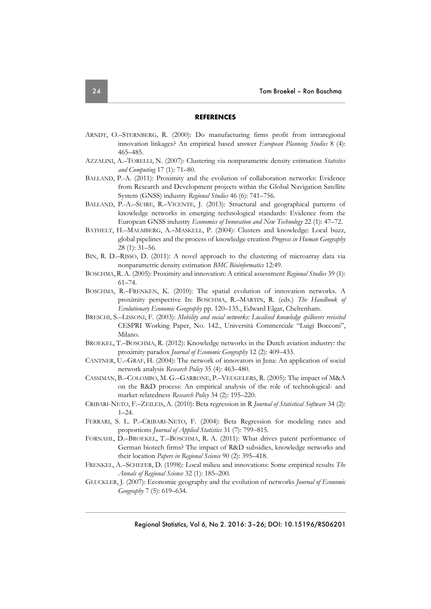#### **REFERENCES**

- ARNDT, O.–STERNBERG, R. (2000): Do manufacturing firms profit from intraregional innovation linkages? An empirical based answer *European Planning Studies* 8 (4): 465–485.
- AZZALINI, A.–TORELLI, N. (2007): Clustering via nonparametric density estimation *Statistics and Computing* 17 (1): 71–80.
- BALLAND, P.-A. (2011): Proximity and the evolution of collaboration networks: Evidence from Research and Development projects within the Global Navigation Satellite System (GNSS) industry *Regional Studies* 46 (6): 741–756.
- BALLAND, P.-A.–SUIRE, R.–VICENTE, J. (2013): Structural and geographical patterns of knowledge networks in emerging technological standards: Evidence from the European GNSS industry *Economics of Innovation and New Technology* 22 (1): 47–72.
- BATHELT, H.–MALMBERG, A.–MASKELL, P. (2004): Clusters and knowledge: Local buzz, global pipelines and the process of knowledge creation *Progress in Human Geography* 28 (1): 31–56.
- BIN, R. D.–RISSO, D. (2011): A novel approach to the clustering of microarray data via nonparametric density estimation *BMC Bioinformatics* 12:49.
- BOSCHMA, R. A. (2005): Proximity and innovation: A critical assessment *Regional Studies* 39 (1): 61–74.
- BOSCHMA, R.–FRENKEN, K. (2010): The spatial evolution of innovation networks. A proximity perspective In: BOSCHMA, R.–MARTIN, R. (eds.) *The Handbook of Evolutionary Economic Geography* pp. 120–135., Edward Elgar, Cheltenham.
- BRESCHI, S.–LISSONI, F. (2003): *Mobility and social networks: Localised knowledge spillovers revisited* CESPRI Working Paper, No. 142., Università Commerciale "Luigi Bocconi", Milano.
- BROEKEL, T.–BOSCHMA, R. (2012): Knowledge networks in the Dutch aviation industry: the proximity paradox *Journal of Economic Geography* 12 (2): 409–433.
- CANTNER, U.–GRAF, H. (2004): The network of innovators in Jena: An application of social network analysis *Research Policy* 35 (4): 463–480.
- CASSIMAN, B.–COLOMBO, M. G.–GARRONE, P.–VEUGELERS, R. (2005): The impact of M&A on the R&D process: An empirical analysis of the role of technological- and market-relatedness *Research Policy* 34 (2): 195–220.
- CRIBARI-NETO, F.–ZEILEIS, A. (2010): Beta regression in R *Journal of Statistical Software* 34 (2): 1–24.
- FERRARI, S. L. P.–CRIBARI-NETO, F. (2004): Beta Regression for modeling rates and proportions *Journal of Applied Statistics* 31 (7): 799–815.
- FORNAHL, D.–BROEKEL, T.–BOSCHMA, R. A. (2011): What drives patent performance of German biotech firms? The impact of R&D subsidies, knowledge networks and their location *Papers in Regional Science* 90 (2): 395–418.
- FRENKEL, A.–SCHEFER, D. (1998): Local milieu and innovations: Some empirical results *The Annals of Regional Science* 32 (1): 185–200.
- GLUCKLER, J. (2007): Economic geography and the evolution of networks *Journal of Economic Geography* 7 (5): 619–634.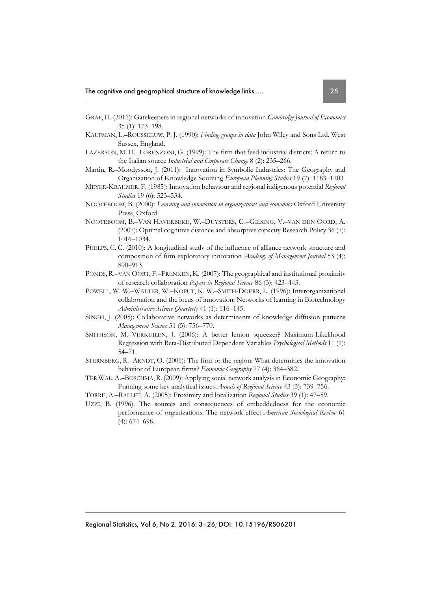- GRAF, H. (2011): Gatekeepers in regional networks of innovation *Cambridge Journal of Economics* 35 (1): 173–198.
- KAUFMAN, L.–ROUSSEEUW, P. J. (1990): *Finding groups in data* John Wiley and Sons Ltd. West Sussex, England.
- LAZERSON, M. H.–LORENZONI, G. (1999): The firm that feed industrial districts: A return to the Italian source *Industrial and Corporate Change* 8 (2): 235–266.
- Martin, R.–Moodysson, J. (2011): Innovation in Symbolic Industries: The Geography and Organization of Knowledge Sourcing *European Planning Studies* 19 (7): 1183–1203
- MEYER-KRAHMER, F. (1985): Innovation behaviour and regional indigenous potential *Regional Studies* 19 (6): 523–534.
- NOOTEBOOM, B. (2000): *Learning and innovation in organizations and economics* Oxford University Press, Oxford.
- NOOTEBOOM, B.–VAN HAVERBEKE, W.–DUYSTERS, G.–GILSING, V.–VAN DEN OORD, A. (2007): Optimal cognitive distance and absorptive capacity Research Policy 36 (7): 1016–1034.
- PHELPS, C. C. (2010): A longitudinal study of the influence of alliance network structure and composition of firm exploratory innovation *Academy of Management Journal* 53 (4): 890–913.
- PONDS, R.–VAN OORT, F.–FRENKEN, K. (2007): The geographical and institutional proximity of research collaboration *Papers in Regional Science* 86 (3): 423–443.
- POWELL, W. W.–WALTER, W.–KOPUT, K. W.–SMITH-DOERR, L. (1996): Interorganizational collaboration and the locus of innovation: Networks of learning in Biotechnology *Administrative Science Quarterly* 41 (1): 116–145.
- SINGH, J. (2005): Collaborative networks as determinants of knowledge diffusion patterns *Management Science* 51 (5): 756–770.
- SMITHSON, M.–VERKUILEN, J. (2006): A better lemon squeezer? Maximum-Likelihood Regression with Beta-Distributed Dependent Variables *Psychological Methods* 11 (1): 54–71.
- STERNBERG, R.–ARNDT, O. (2001): The firm or the region: What determines the innovation behavior of European firms? *Economic Geography* 77 (4): 364–382.
- TER WAL,A.–BOSCHMA,R. (2009): Applying social network analysis in Economic Geography: Framing some key analytical issues *Annals of Regional Science* 43 (3): 739–756.
- TORRE, A.–RALLET, A. (2005): Proximity and localization *Regional Studies* 39 (1): 47–59.
- UZZI, B. (1996). The sources and consequences of embeddedness for the economic performance of organizations: The network effect *American Sociological Review* 61 (4): 674–698.